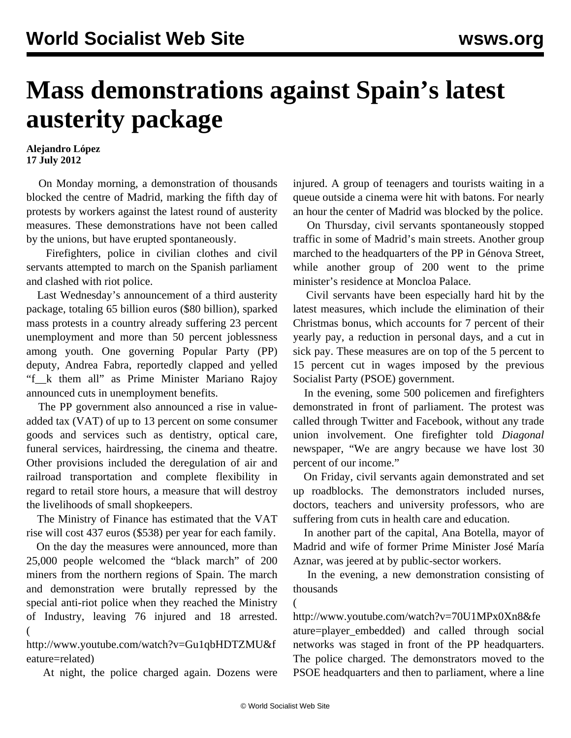## **Mass demonstrations against Spain's latest austerity package**

## **Alejandro López 17 July 2012**

 On Monday morning, a demonstration of thousands blocked the centre of Madrid, marking the fifth day of protests by workers against the latest round of austerity measures. These demonstrations have not been called by the unions, but have erupted spontaneously.

 Firefighters, police in civilian clothes and civil servants attempted to march on the Spanish parliament and clashed with riot police.

 Last Wednesday's announcement of a third austerity package, totaling 65 billion euros (\$80 billion), sparked mass protests in a country already suffering 23 percent unemployment and more than 50 percent joblessness among youth. One governing Popular Party (PP) deputy, Andrea Fabra, reportedly clapped and yelled "f\_\_k them all" as Prime Minister Mariano Rajoy announced cuts in unemployment benefits.

 The PP government also announced a rise in valueadded tax (VAT) of up to 13 percent on some consumer goods and services such as dentistry, optical care, funeral services, hairdressing, the cinema and theatre. Other provisions included the deregulation of air and railroad transportation and complete flexibility in regard to retail store hours, a measure that will destroy the livelihoods of small shopkeepers.

 The Ministry of Finance has estimated that the VAT rise will cost 437 euros (\$538) per year for each family.

 On the day the measures were announced, more than 25,000 people welcomed the "black march" of 200 miners from the northern regions of Spain. The march and demonstration were brutally repressed by the special anti-riot police when they reached the Ministry of Industry, leaving 76 injured and 18 arrested. (

[http://www.youtube.com/watch?v=Gu1qbHDTZMU&f](http://www.youtube.com/watch?v=Gu1qbHDTZMU&feature=related) [eature=related](http://www.youtube.com/watch?v=Gu1qbHDTZMU&feature=related))

At night, the police charged again. Dozens were

injured. A group of teenagers and tourists waiting in a queue outside a cinema were hit with batons. For nearly an hour the center of Madrid was blocked by the police.

 On Thursday, civil servants spontaneously stopped traffic in some of Madrid's main streets. Another group marched to the headquarters of the PP in Génova Street, while another group of 200 went to the prime minister's residence at Moncloa Palace.

 Civil servants have been especially hard hit by the latest measures, which include the elimination of their Christmas bonus, which accounts for 7 percent of their yearly pay, a reduction in personal days, and a cut in sick pay. These measures are on top of the 5 percent to 15 percent cut in wages imposed by the previous Socialist Party (PSOE) government.

 In the evening, some 500 policemen and firefighters demonstrated in front of parliament. The protest was called through Twitter and Facebook, without any trade union involvement. One firefighter told *Diagonal* newspaper, "We are angry because we have lost 30 percent of our income."

 On Friday, civil servants again demonstrated and set up roadblocks. The demonstrators included nurses, doctors, teachers and university professors, who are suffering from cuts in health care and education.

 In another part of the capital, Ana Botella, mayor of Madrid and wife of former Prime Minister José María Aznar, was jeered at by public-sector workers.

 In the evening, a new demonstration consisting of thousands

[http://www.youtube.com/watch?v=70U1MPx0Xn8&fe](http://www.youtube.com/watch?v=70U1MPx0Xn8&feature=player_embedded) [ature=player\\_embedded](http://www.youtube.com/watch?v=70U1MPx0Xn8&feature=player_embedded)) and called through social networks was staged in front of the PP headquarters. The police charged. The demonstrators moved to the PSOE headquarters and then to parliament, where a line

(